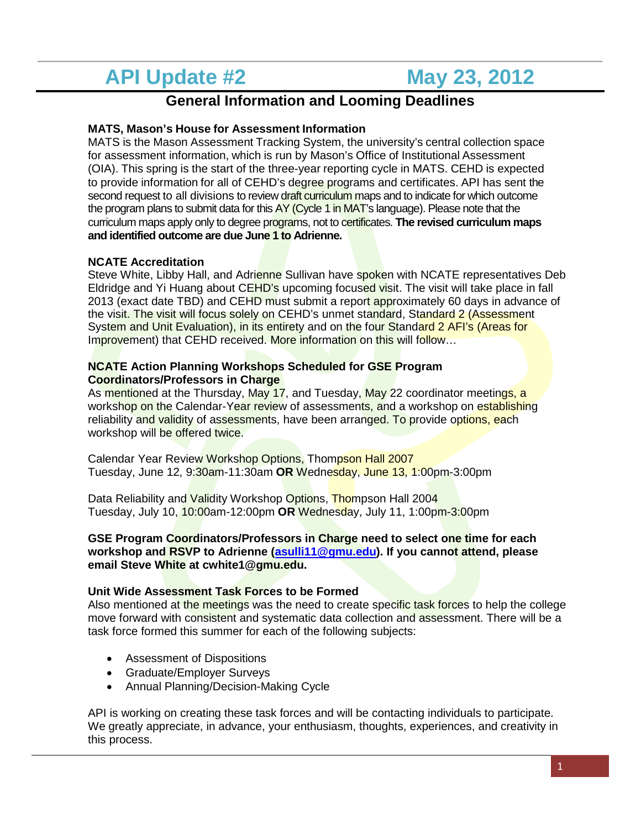# **API Update #2 May 23, 2012**

## **General Information and Looming Deadlines**

### **MATS, Mason's House for Assessment Information**

MATS is the Mason Assessment Tracking System, the university's central collection space for assessment information, which is run by Mason's Office of Institutional Assessment (OIA). This spring is the start of the three-year reporting cycle in MATS. CEHD is expected to provide information for all of CEHD's degree programs and certificates. API has sent the second request to all divisions to review draft curriculum maps and to indicate for which outcome the program plans to submit data for this AY (Cycle 1 in MAT's language). Please note that the curriculum maps apply only to degree programs, not to certificates. **The revised curriculum maps and identified outcome are due June 1 to Adrienne.** 

#### **NCATE Accreditation**

Steve White, Libby Hall, and Adrienne Sullivan have spoken with NCATE representatives Deb Eldridge and Yi Huang about CEHD's upcoming focused visit. The visit will take place in fall 2013 (exact date TBD) and CEHD must submit a report approximately 60 days in advance of the visit. The visit will focus solely on CEHD's unmet standard, Standard 2 (Assessment System and Unit Evaluation), in its entirety and on the four Standard 2 AFI's (Areas for Improvement) that CEHD received. More information on this will follow…

#### **NCATE Action Planning Workshops Scheduled for GSE Program Coordinators/Professors in Charge**

As mentioned at the Thursday, May 17, and Tuesday, May 22 coordinator meetings, a workshop on the Calendar-Year review of assessments, and a workshop on establishing reliability and validity of assessments, have been arranged. To provide options, each workshop will be offered twice.

Calendar Year Review Workshop Options, Thompson Hall 2007 Tuesday, June 12, 9:30am-11:30am **OR** Wednesday, June 13, 1:00pm-3:00pm

Data Reliability and Validity Workshop Options, Thompson Hall 2004 Tuesday, July 10, 10:00am-12:00pm **OR** Wednesday, July 11, 1:00pm-3:00pm

#### **GSE Program Coordinators/Professors in Charge need to select one time for each workshop and RSVP to Adrienne [\(asulli11@gmu.edu\)](mailto:asulli11@gmu.edu). If you cannot attend, please email Steve White at cwhite1@gmu.edu.**

#### **Unit Wide Assessment Task Forces to be Formed**

Also mentioned at the meetings was the need to create specific task forces to help the college move forward with consistent and systematic data collection and assessment. There will be a task force formed this summer for each of the following subjects:

- Assessment of Dispositions
- Graduate/Employer Surveys
- Annual Planning/Decision-Making Cycle

API is working on creating these task forces and will be contacting individuals to participate. We greatly appreciate, in advance, your enthusiasm, thoughts, experiences, and creativity in this process.